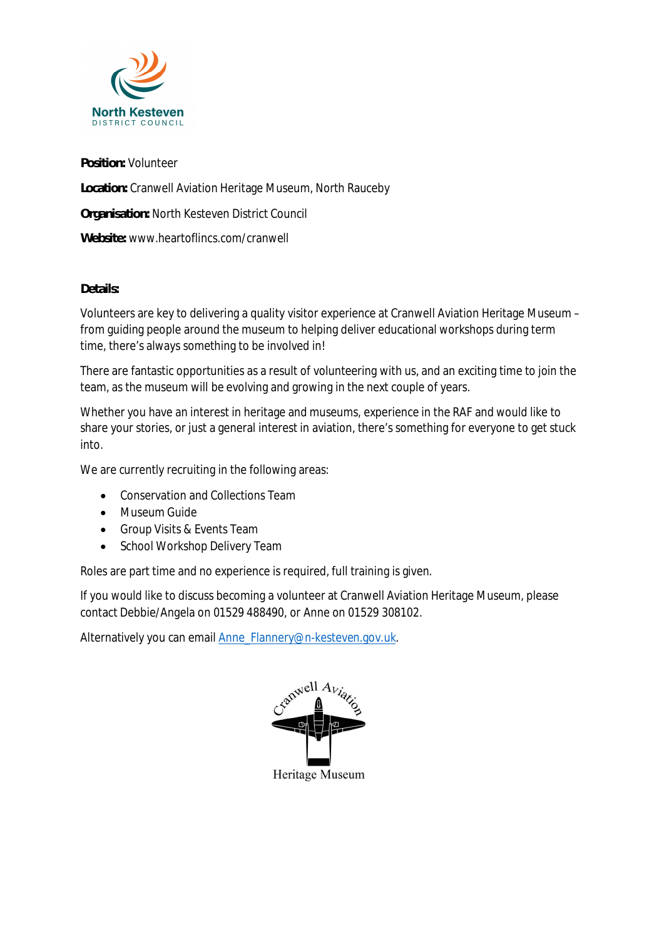

**Position:** Volunteer

**Location:** Cranwell Aviation Heritage Museum, North Rauceby

**Organisation:** North Kesteven District Council

**Website:** www.heartoflincs.com/cranwell

## **Details:**

Volunteers are key to delivering a quality visitor experience at Cranwell Aviation Heritage Museum – from guiding people around the museum to helping deliver educational workshops during term time, there's always something to be involved in!

There are fantastic opportunities as a result of volunteering with us, and an exciting time to join the team, as the museum will be evolving and growing in the next couple of years.

Whether you have an interest in heritage and museums, experience in the RAF and would like to share your stories, or just a general interest in aviation, there's something for everyone to get stuck into.

We are currently recruiting in the following areas:

- · Conservation and Collections Team
- · Museum Guide
- · Group Visits & Events Team
- · School Workshop Delivery Team

Roles are part time and no experience is required, full training is given.

If you would like to discuss becoming a volunteer at Cranwell Aviation Heritage Museum, please contact Debbie/Angela on 01529 488490, or Anne on 01529 308102.

Alternatively you can email Anne\_Flannery@n-kesteven.gov.uk.

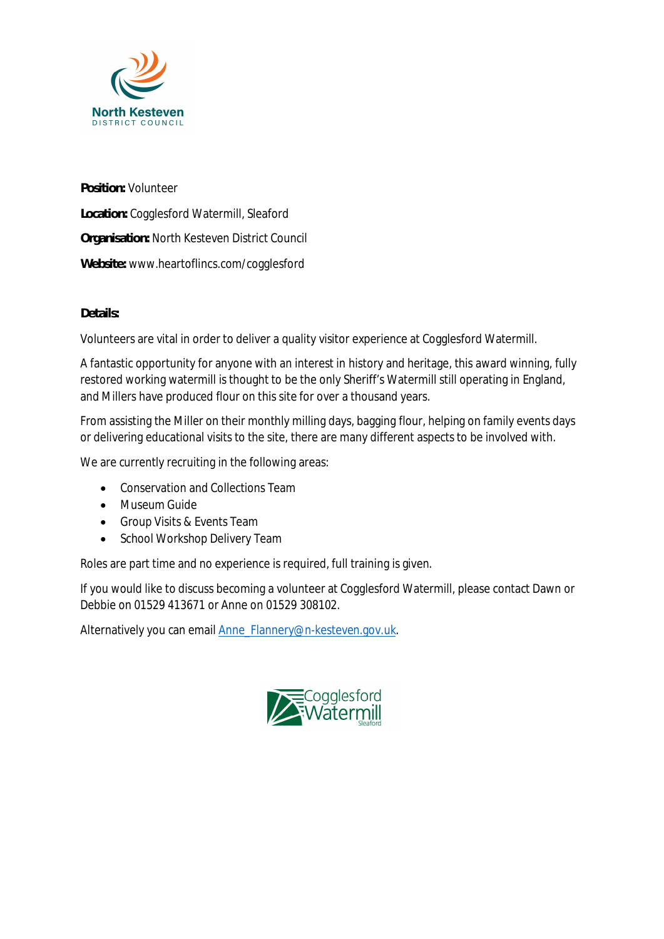

**Position:** Volunteer **Location:** Cogglesford Watermill, Sleaford **Organisation:** North Kesteven District Council **Website:** www.heartoflincs.com/cogglesford

## **Details:**

Volunteers are vital in order to deliver a quality visitor experience at Cogglesford Watermill.

A fantastic opportunity for anyone with an interest in history and heritage, this award winning, fully restored working watermill is thought to be the only Sheriff's Watermill still operating in England, and Millers have produced flour on this site for over a thousand years.

From assisting the Miller on their monthly milling days, bagging flour, helping on family events days or delivering educational visits to the site, there are many different aspects to be involved with.

We are currently recruiting in the following areas:

- · Conservation and Collections Team
- · Museum Guide
- · Group Visits & Events Team
- School Workshop Delivery Team

Roles are part time and no experience is required, full training is given.

If you would like to discuss becoming a volunteer at Cogglesford Watermill, please contact Dawn or Debbie on 01529 413671 or Anne on 01529 308102.

Alternatively you can email Anne\_Flannery@n-kesteven.gov.uk.